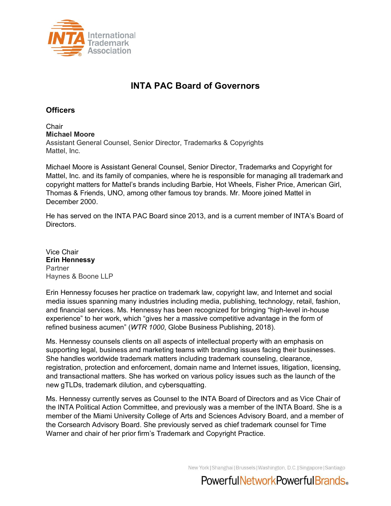

## **INTA PAC Board of Governors**

#### **Officers**

**Chair Michael Moore** Assistant General Counsel, Senior Director, Trademarks & Copyrights Mattel, Inc.

Michael Moore is Assistant General Counsel, Senior Director, Trademarks and Copyright for Mattel, Inc. and its family of companies, where he is responsible for managing all trademark and copyright matters for Mattel's brands including Barbie, Hot Wheels, Fisher Price, American Girl, Thomas & Friends, UNO, among other famous toy brands. Mr. Moore joined Mattel in December 2000.

He has served on the INTA PAC Board since 2013, and is a current member of INTA's Board of Directors.

Vice Chair **Erin Hennessy Partner** Haynes & Boone LLP

Erin Hennessy focuses her practice on trademark law, copyright law, and Internet and social media issues spanning many industries including media, publishing, technology, retail, fashion, and financial services. Ms. Hennessy has been recognized for bringing "high-level in-house experience" to her work, which "gives her a massive competitive advantage in the form of refined business acumen" (*WTR 1000*, Globe Business Publishing, 2018).

Ms. Hennessy counsels clients on all aspects of intellectual property with an emphasis on supporting legal, business and marketing teams with branding issues facing their businesses. She handles worldwide trademark matters including trademark counseling, clearance, registration, protection and enforcement, domain name and Internet issues, litigation, licensing, and transactional matters. She has worked on various policy issues such as the launch of the new gTLDs, trademark dilution, and cybersquatting.

Ms. Hennessy currently serves as Counsel to the INTA Board of Directors and as Vice Chair of the INTA Political Action Committee, and previously was a member of the INTA Board. She is a member of the Miami University College of Arts and Sciences Advisory Board, and a member of the Corsearch Advisory Board. She previously served as chief trademark counsel for Time Warner and chair of her prior firm's Trademark and Copyright Practice.

New York | Shanghai | Brussels | Washington, D.C. | Singapore | Santiago

PowerfulNetworkPowerfulBrands.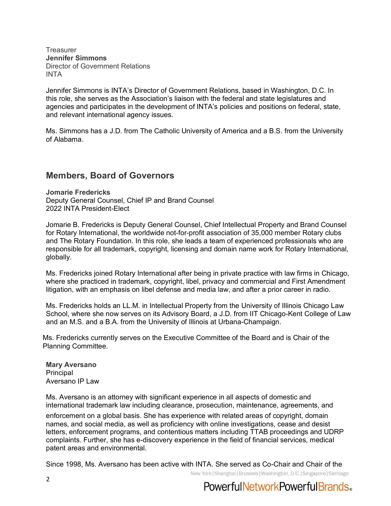Treasurer **Jennifer Simmons** Director of Government Relations INTA

Jennifer Simmons is INTA's Director of Government Relations, based in Washington, D.C. In this role, she serves as the Association's liaison with the federal and state legislatures and agencies and participates in the development of INTA's policies and positions on federal, state, and relevant international agency issues.

Ms. Simmons has a J.D. from The Catholic University of America and a B.S. from the University of Alabama.

### **Members, Board of Governors**

**Jomarie Fredericks** Deputy General Counsel, Chief IP and Brand Counsel 2022 INTA President-Elect

Jomarie B. Fredericks is Deputy General Counsel, Chief Intellectual Property and Brand Counsel for Rotary International, the worldwide not-for-profit association of 35,000 member Rotary clubs and The Rotary Foundation. In this role, she leads a team of experienced professionals who are responsible for all trademark, copyright, licensing and domain name work for Rotary International, globally.

Ms. Fredericks joined Rotary International after being in private practice with law firms in Chicago, where she practiced in trademark, copyright, libel, privacy and commercial and First Amendment litigation, with an emphasis on libel defense and media law, and after a prior career in radio.

Ms. Fredericks holds an LL.M. in Intellectual Property from the University of Illinois Chicago Law School, where she now serves on its Advisory Board, a J.D. from IIT Chicago-Kent College of Law and an M.S. and a B.A. from the University of Illinois at Urbana-Champaign.

Ms. Fredericks currently serves on the Executive Committee of the Board and is Chair of the Planning Committee.

**Mary Aversano Principal** Aversano IP Law

Ms. Aversano is an attorney with significant experience in all aspects of domestic and international trademark law including clearance, prosecution, maintenance, agreements, and

enforcement on a global basis. She has experience with related areas of copyright, domain names, and social media, as well as proficiency with online investigations, cease and desist letters, enforcement programs, and contentious matters including TTAB proceedings and UDRP complaints. Further, she has e-discovery experience in the field of financial services, medical patent areas and environmental.

Since 1998, Ms. Aversano has been active with INTA. She served as Co-Chair and Chair of the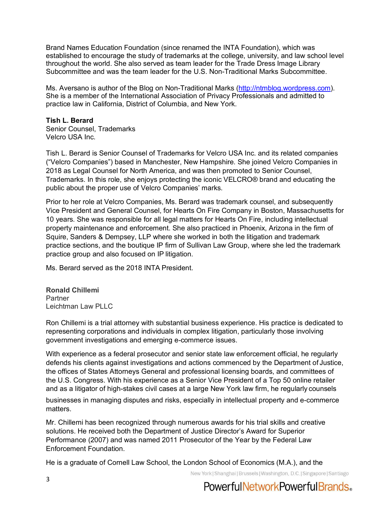Brand Names Education Foundation (since renamed the INTA Foundation), which was established to encourage the study of trademarks at the college, university, and law school level throughout the world. She also served as team leader for the Trade Dress Image Library Subcommittee and was the team leader for the U.S. Non-Traditional Marks Subcommittee.

Ms. Aversano is author of the Blog on Non-Traditional Marks [\(http://ntmblog.wordpress.com\)](http://ntmblog.wordpress.com/). She is a member of the International Association of Privacy Professionals and admitted to practice law in California, District of Columbia, and New York.

#### **Tish L. Berard**

Senior Counsel, Trademarks Velcro USA Inc.

Tish L. Berard is Senior Counsel of Trademarks for Velcro USA Inc. and its related companies ("Velcro Companies") based in Manchester, New Hampshire. She joined Velcro Companies in 2018 as Legal Counsel for North America, and was then promoted to Senior Counsel, Trademarks. In this role, she enjoys protecting the iconic VELCRO® brand and educating the public about the proper use of Velcro Companies' marks.

Prior to her role at Velcro Companies, Ms. Berard was trademark counsel, and subsequently Vice President and General Counsel, for Hearts On Fire Company in Boston, Massachusetts for 10 years. She was responsible for all legal matters for Hearts On Fire, including intellectual property maintenance and enforcement. She also practiced in Phoenix, Arizona in the firm of Squire, Sanders & Dempsey, LLP where she worked in both the litigation and trademark practice sections, and the boutique IP firm of Sullivan Law Group, where she led the trademark practice group and also focused on IP litigation.

Ms. Berard served as the 2018 INTA President.

**Ronald Chillemi Partner** Leichtman Law PLLC

Ron Chillemi is a trial attorney with substantial business experience. His practice is dedicated to representing corporations and individuals in complex litigation, particularly those involving government investigations and emerging e-commerce issues.

With experience as a federal prosecutor and senior state law enforcement official, he regularly defends his clients against investigations and actions commenced by the Department of Justice, the offices of States Attorneys General and professional licensing boards, and committees of the U.S. Congress. With his experience as a Senior Vice President of a Top 50 online retailer and as a litigator of high-stakes civil cases at a large New York law firm, he regularly counsels

businesses in managing disputes and risks, especially in intellectual property and e-commerce matters.

Mr. Chillemi has been recognized through numerous awards for his trial skills and creative solutions. He received both the Department of Justice Director's Award for Superior Performance (2007) and was named 2011 Prosecutor of the Year by the Federal Law Enforcement Foundation.

He is a graduate of Cornell Law School, the London School of Economics (M.A.), and the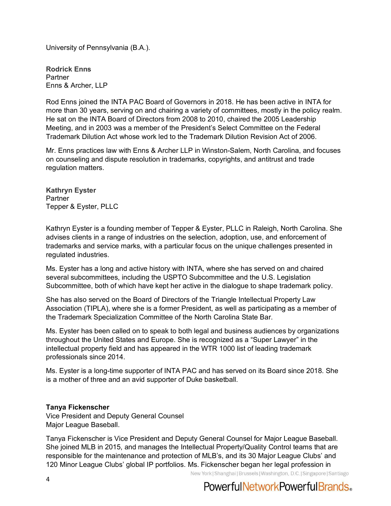University of Pennsylvania (B.A.).

**Rodrick Enns Partner** Enns & Archer, LLP

Rod Enns joined the INTA PAC Board of Governors in 2018. He has been active in INTA for more than 30 years, serving on and chairing a variety of committees, mostly in the policy realm. He sat on the INTA Board of Directors from 2008 to 2010, chaired the 2005 Leadership Meeting, and in 2003 was a member of the President's Select Committee on the Federal Trademark Dilution Act whose work led to the Trademark Dilution Revision Act of 2006.

Mr. Enns practices law with Enns & Archer LLP in Winston-Salem, North Carolina, and focuses on counseling and dispute resolution in trademarks, copyrights, and antitrust and trade regulation matters.

**Kathryn Eyster Partner** Tepper & Eyster, PLLC

Kathryn Eyster is a founding member of Tepper & Eyster, PLLC in Raleigh, North Carolina. She advises clients in a range of industries on the selection, adoption, use, and enforcement of trademarks and service marks, with a particular focus on the unique challenges presented in regulated industries.

Ms. Eyster has a long and active history with INTA, where she has served on and chaired several subcommittees, including the USPTO Subcommittee and the U.S. Legislation Subcommittee, both of which have kept her active in the dialogue to shape trademark policy.

She has also served on the Board of Directors of the Triangle Intellectual Property Law Association (TIPLA), where she is a former President, as well as participating as a member of the Trademark Specialization Committee of the North Carolina State Bar.

Ms. Eyster has been called on to speak to both legal and business audiences by organizations throughout the United States and Europe. She is recognized as a "Super Lawyer" in the intellectual property field and has appeared in the WTR 1000 list of leading trademark professionals since 2014.

Ms. Eyster is a long-time supporter of INTA PAC and has served on its Board since 2018. She is a mother of three and an avid supporter of Duke basketball.

#### **Tanya Fickenscher**

Vice President and Deputy General Counsel Major League Baseball.

Tanya Fickenscher is Vice President and Deputy General Counsel for Major League Baseball. She joined MLB in 2015, and manages the Intellectual Property/Quality Control teams that are responsible for the maintenance and protection of MLB's, and its 30 Major League Clubs' and 120 Minor League Clubs' global IP portfolios. Ms. Fickenscher began her legal profession in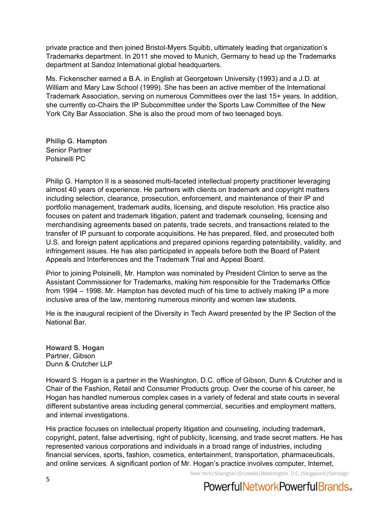private practice and then joined Bristol-Myers Squibb, ultimately leading that organization's Trademarks department. In 2011 she moved to Munich, Germany to head up the Trademarks department at Sandoz International global headquarters.

Ms. Fickenscher earned a B.A. in English at Georgetown University (1993) and a J.D. at William and Mary Law School (1999). She has been an active member of the International Trademark Association, serving on numerous Committees over the last 15+ years. In addition, she currently co-Chairs the IP Subcommittee under the Sports Law Committee of the New York City Bar Association. She is also the proud mom of two teenaged boys.

**Philip G. Hampton** Senior Partner Polsinelli PC

Philip G. Hampton II is a seasoned multi-faceted intellectual property practitioner leveraging almost 40 years of experience. He partners with clients on trademark and copyright matters including selection, clearance, prosecution, enforcement, and maintenance of their IP and portfolio management, trademark audits, licensing, and dispute resolution. His practice also focuses on patent and trademark litigation, patent and trademark counseling, licensing and merchandising agreements based on patents, trade secrets, and transactions related to the transfer of IP pursuant to corporate acquisitions. He has prepared, filed, and prosecuted both U.S. and foreign patent applications and prepared opinions regarding patentability, validity, and infringement issues. He has also participated in appeals before both the Board of Patent Appeals and Interferences and the Trademark Trial and Appeal Board.

Prior to joining Polsinelli, Mr. Hampton was nominated by President Clinton to serve as the Assistant Commissioner for Trademarks, making him responsible for the Trademarks Office from 1994 – 1998. Mr. Hampton has devoted much of his time to actively making IP a more inclusive area of the law, mentoring numerous minority and women law students.

He is the inaugural recipient of the Diversity in Tech Award presented by the IP Section of the National Bar.

**Howard S. Hogan**  Partner, Gibson Dunn & Crutcher LLP

Howard S. Hogan is a partner in the Washington, D.C. office of Gibson, Dunn & Crutcher and is Chair of the Fashion, Retail and Consumer Products group. Over the course of his career, he Hogan has handled numerous complex cases in a variety of federal and state courts in several different substantive areas including general commercial, securities and employment matters, and internal investigations.

His practice focuses on intellectual property litigation and counseling, including trademark, copyright, patent, false advertising, right of publicity, licensing, and trade secret matters. He has represented various corporations and individuals in a broad range of industries, including financial services, sports, fashion, cosmetics, entertainment, transportation, pharmaceuticals, and online services. A significant portion of Mr. Hogan's practice involves computer, Internet,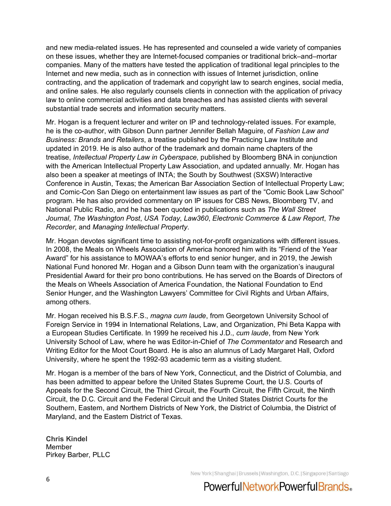and new media-related issues. He has represented and counseled a wide variety of companies on these issues, whether they are Internet-focused companies or traditional brick–and–mortar companies. Many of the matters have tested the application of traditional legal principles to the Internet and new media, such as in connection with issues of Internet jurisdiction, online contracting, and the application of trademark and copyright law to search engines, social media, and online sales. He also regularly counsels clients in connection with the application of privacy law to online commercial activities and data breaches and has assisted clients with several substantial trade secrets and information security matters.

Mr. Hogan is a frequent lecturer and writer on IP and technology-related issues. For example, he is the co-author, with Gibson Dunn partner Jennifer Bellah Maguire, of *Fashion Law and Business: Brands and Retailers*, a treatise published by the Practicing Law Institute and updated in 2019. He is also author of the trademark and domain name chapters of the treatise, *Intellectual Property Law in Cyberspace,* published by Bloomberg BNA in conjunction with the American Intellectual Property Law Association, and updated annually. Mr. Hogan has also been a speaker at meetings of INTA; the South by Southwest (SXSW) Interactive Conference in Austin, Texas; the American Bar Association Section of Intellectual Property Law; and Comic-Con San Diego on entertainment law issues as part of the "Comic Book Law School" program. He has also provided commentary on IP issues for CBS News, Bloomberg TV, and National Public Radio, and he has been quoted in publications such as *The Wall Street Journal*, *The Washington Post*, *USA Today*, *Law360*, *Electronic Commerce & Law Report*, *The Recorder*, and *Managing Intellectual Property*.

Mr. Hogan devotes significant time to assisting not-for-profit organizations with different issues. In 2008, the Meals on Wheels Association of America honored him with its "Friend of the Year Award" for his assistance to MOWAA's efforts to end senior hunger, and in 2019, the Jewish National Fund honored Mr. Hogan and a Gibson Dunn team with the organization's inaugural Presidential Award for their pro bono contributions. He has served on the Boards of Directors of the Meals on Wheels Association of America Foundation, the National Foundation to End Senior Hunger, and the Washington Lawyers' Committee for Civil Rights and Urban Affairs, among others.

Mr. Hogan received his B.S.F.S., *magna cum laude*, from Georgetown University School of Foreign Service in 1994 in International Relations, Law, and Organization, Phi Beta Kappa with a European Studies Certificate. In 1999 he received his J.D., *cum laude*, from New York University School of Law, where he was Editor-in-Chief of *The Commentator* and Research and Writing Editor for the Moot Court Board. He is also an alumnus of Lady Margaret Hall, Oxford University, where he spent the 1992-93 academic term as a visiting student.

Mr. Hogan is a member of the bars of New York, Connecticut, and the District of Columbia, and has been admitted to appear before the United States Supreme Court, the U.S. Courts of Appeals for the Second Circuit, the Third Circuit, the Fourth Circuit, the Fifth Circuit, the Ninth Circuit, the D.C. Circuit and the Federal Circuit and the United States District Courts for the Southern, Eastern, and Northern Districts of New York, the District of Columbia, the District of Maryland, and the Eastern District of Texas.

**Chris Kindel Member** Pirkey Barber, PLLC

New York | Shanghai | Brussels | Washington, D.C. | Singapore | Santiago

# PowerfulNetworkPowerfulBrands.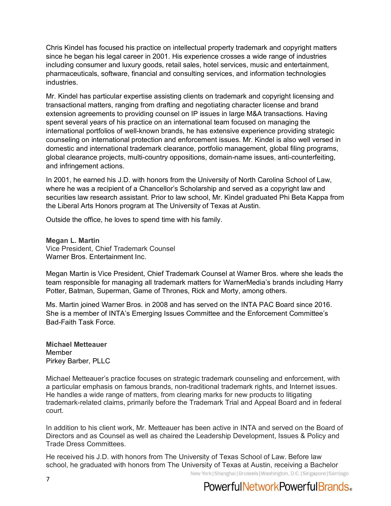Chris Kindel has focused his practice on intellectual property trademark and copyright matters since he began his legal career in 2001. His experience crosses a wide range of industries including consumer and luxury goods, retail sales, hotel services, music and entertainment, pharmaceuticals, software, financial and consulting services, and information technologies industries.

Mr. Kindel has particular expertise assisting clients on trademark and copyright licensing and transactional matters, ranging from drafting and negotiating character license and brand extension agreements to providing counsel on IP issues in large M&A transactions. Having spent several years of his practice on an international team focused on managing the international portfolios of well-known brands, he has extensive experience providing strategic counseling on international protection and enforcement issues. Mr. Kindel is also well versed in domestic and international trademark clearance, portfolio management, global filing programs, global clearance projects, multi-country oppositions, domain-name issues, anti-counterfeiting, and infringement actions.

In 2001, he earned his J.D. with honors from the University of North Carolina School of Law, where he was a recipient of a Chancellor's Scholarship and served as a copyright law and securities law research assistant. Prior to law school, Mr. Kindel graduated Phi Beta Kappa from the Liberal Arts Honors program at The University of Texas at Austin.

Outside the office, he loves to spend time with his family.

**Megan L. Martin**

Vice President, Chief Trademark Counsel Warner Bros. Entertainment Inc.

Megan Martin is Vice President, Chief Trademark Counsel at Warner Bros. where she leads the team responsible for managing all trademark matters for WarnerMedia's brands including Harry Potter, Batman, Superman, Game of Thrones, Rick and Morty, among others.

Ms. Martin joined Warner Bros. in 2008 and has served on the INTA PAC Board since 2016. She is a member of INTA's Emerging Issues Committee and the Enforcement Committee's Bad-Faith Task Force.

**Michael Metteauer** Member Pirkey Barber, PLLC

Michael Metteauer's practice focuses on strategic trademark counseling and enforcement, with a particular emphasis on famous brands, non-traditional trademark rights, and Internet issues. He handles a wide range of matters, from clearing marks for new products to litigating trademark-related claims, primarily before the Trademark Trial and Appeal Board and in federal court.

In addition to his client work, Mr. Metteauer has been active in INTA and served on the Board of Directors and as Counsel as well as chaired the Leadership Development, Issues & Policy and Trade Dress Committees.

He received his J.D. with honors from The University of Texas School of Law. Before law school, he graduated with honors from The University of Texas at Austin, receiving a Bachelor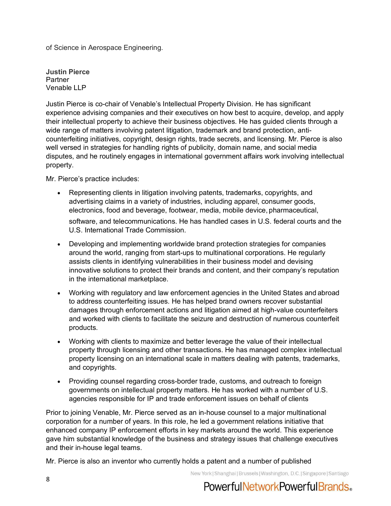of Science in Aerospace Engineering.

**Justin Pierce**  Partner Venable LLP

Justin Pierce is co-chair of Venable's Intellectual Property Division. He has significant experience advising companies and their executives on how best to acquire, develop, and apply their intellectual property to achieve their business objectives. He has guided clients through a wide range of matters involving patent litigation, trademark and brand protection, anticounterfeiting initiatives, copyright, design rights, trade secrets, and licensing. Mr. Pierce is also well versed in strategies for handling rights of publicity, domain name, and social media disputes, and he routinely engages in international government affairs work involving intellectual property.

Mr. Pierce's practice includes:

- Representing clients in litigation involving patents, trademarks, copyrights, and advertising claims in a variety of industries, including apparel, consumer goods, electronics, food and beverage, footwear, media, mobile device, pharmaceutical, software, and telecommunications. He has handled cases in U.S. federal courts and the U.S. International Trade Commission.
- Developing and implementing worldwide brand protection strategies for companies around the world, ranging from start-ups to multinational corporations. He regularly assists clients in identifying vulnerabilities in their business model and devising innovative solutions to protect their brands and content, and their company's reputation in the international marketplace.
- Working with regulatory and law enforcement agencies in the United States and abroad to address counterfeiting issues. He has helped brand owners recover substantial damages through enforcement actions and litigation aimed at high-value counterfeiters and worked with clients to facilitate the seizure and destruction of numerous counterfeit products.
- Working with clients to maximize and better leverage the value of their intellectual property through licensing and other transactions. He has managed complex intellectual property licensing on an international scale in matters dealing with patents, trademarks, and copyrights.
- Providing counsel regarding cross-border trade, customs, and outreach to foreign governments on intellectual property matters. He has worked with a number of U.S. agencies responsible for IP and trade enforcement issues on behalf of clients

Prior to joining Venable, Mr. Pierce served as an in-house counsel to a major multinational corporation for a number of years. In this role, he led a government relations initiative that enhanced company IP enforcement efforts in key markets around the world. This experience gave him substantial knowledge of the business and strategy issues that challenge executives and their in-house legal teams.

Mr. Pierce is also an inventor who currently holds a patent and a number of published